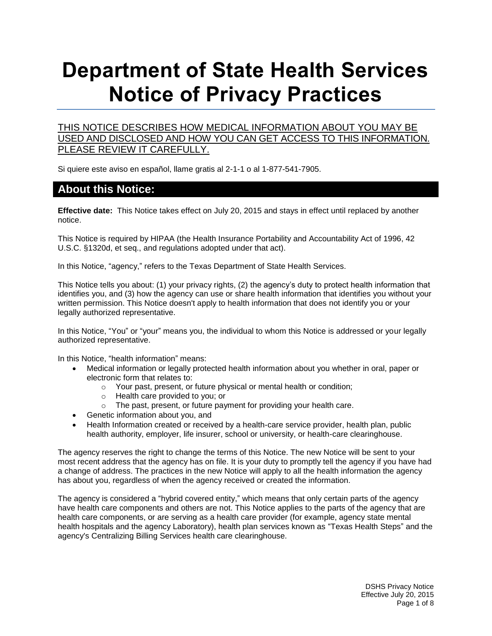# **Department of State Health Services Notice of Privacy Practices**

#### THIS NOTICE DESCRIBES HOW MEDICAL INFORMATION ABOUT YOU MAY BE USED AND DISCLOSED AND HOW YOU CAN GET ACCESS TO THIS INFORMATION. PLEASE REVIEW IT CAREFULLY.

Si quiere este aviso en español, llame gratis al 2-1-1 o al 1-877-541-7905.

#### **About this Notice:**

**Effective date:** This Notice takes effect on July 20, 2015 and stays in effect until replaced by another notice.

This Notice is required by HIPAA (the Health Insurance Portability and Accountability Act of 1996, 42 U.S.C. [§1320d,](http://www.ssa.gov/OP_Home/ssact/title11/1171.htm) et seq., and regulations adopted under that act).

In this Notice, "agency," refers to the Texas Department of State Health Services.

This Notice tells you about: (1) your privacy rights, (2) the agency's duty to protect health information that identifies you, and (3) how the agency can use or share health information that identifies you without your written permission. This Notice doesn't apply to health information that does not identify you or your legally authorized representative.

In this Notice, "You" or "your" means you, the individual to whom this Notice is addressed or your legally authorized representative.

In this Notice, "health information" means:

- Medical information or legally protected health information about you whether in oral, paper or electronic form that relates to:
	- o Your past, present, or future physical or mental health or condition;
	- o Health care provided to you; or
	- o The past, present, or future payment for providing your health care.
- Genetic information about you, and
- Health Information created or received by a health-care service provider, health plan, public health authority, employer, life insurer, school or university, or health-care clearinghouse.

The agency reserves the right to change the terms of this Notice. The new Notice will be sent to your most recent address that the agency has on file. It is your duty to promptly tell the agency if you have had a change of address. The practices in the new Notice will apply to all the health information the agency has about you, regardless of when the agency received or created the information.

The agency is considered a "hybrid covered entity," which means that only certain parts of the agency have health care components and others are not. This Notice applies to the parts of the agency that are health care components, or are serving as a health care provider (for example, agency state mental health hospitals and the agency Laboratory), health plan services known as "Texas Health Steps" and the agency's Centralizing Billing Services health care clearinghouse.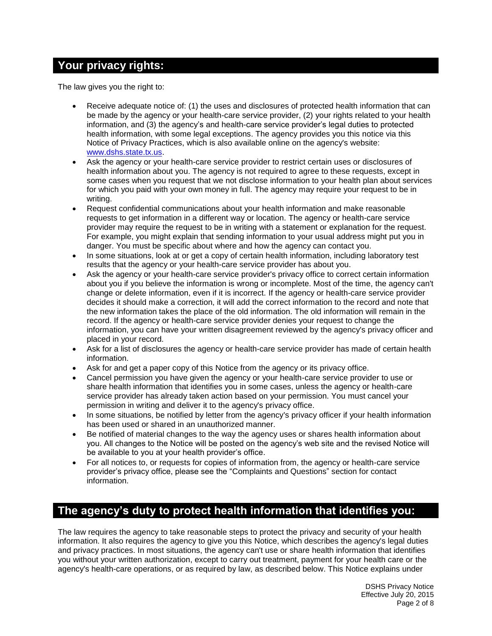## **Your privacy rights:**

The law gives you the right to:

- Receive adequate notice of: (1) the uses and disclosures of protected health information that can be made by the agency or your health-care service provider, (2) your rights related to your health information, and (3) the agency's and health-care service provider's legal duties to protected health information, with some legal exceptions. The agency provides you this notice via this Notice of Privacy Practices, which is also available online on the agency's website: [www.dshs.state.tx.us.](http://www.dshs.state.tx.us/)
- Ask the agency or your health-care service provider to restrict certain uses or disclosures of health information about you. The agency is not required to agree to these requests, except in some cases when you request that we not disclose information to your health plan about services for which you paid with your own money in full. The agency may require your request to be in writing.
- Request confidential communications about your health information and make reasonable requests to get information in a different way or location. The agency or health-care service provider may require the request to be in writing with a statement or explanation for the request. For example, you might explain that sending information to your usual address might put you in danger. You must be specific about where and how the agency can contact you.
- In some situations, look at or get a copy of certain health information, including laboratory test results that the agency or your health-care service provider has about you.
- Ask the agency or your health-care service provider's privacy office to correct certain information about you if you believe the information is wrong or incomplete. Most of the time, the agency can't change or delete information, even if it is incorrect. If the agency or health-care service provider decides it should make a correction, it will add the correct information to the record and note that the new information takes the place of the old information. The old information will remain in the record. If the agency or health-care service provider denies your request to change the information, you can have your written disagreement reviewed by the agency's privacy officer and placed in your record.
- Ask for a list of disclosures the agency or health-care service provider has made of certain health information.
- Ask for and get a paper copy of this Notice from the agency or its privacy office.
- Cancel permission you have given the agency or your health-care service provider to use or share health information that identifies you in some cases, unless the agency or health-care service provider has already taken action based on your permission. You must cancel your permission in writing and deliver it to the agency's privacy office.
- In some situations, be notified by letter from the agency's privacy officer if your health information has been used or shared in an unauthorized manner.
- Be notified of material changes to the way the agency uses or shares health information about you. All changes to the Notice will be posted on the agency's web site and the revised Notice will be available to you at your health provider's office.
- For all notices to, or requests for copies of information from, the agency or health-care service provider's privacy office, please see the "Complaints and Questions" section for contact information.

## **The agency's duty to protect health information that identifies you:**

The law requires the agency to take reasonable steps to protect the privacy and security of your health information. It also requires the agency to give you this Notice, which describes the agency's legal duties and privacy practices. In most situations, the agency can't use or share health information that identifies you without your written authorization, except to carry out treatment, payment for your health care or the agency's health-care operations, or as required by law, as described below. This Notice explains under

> DSHS Privacy Notice Effective July 20, 2015 Page 2 of 8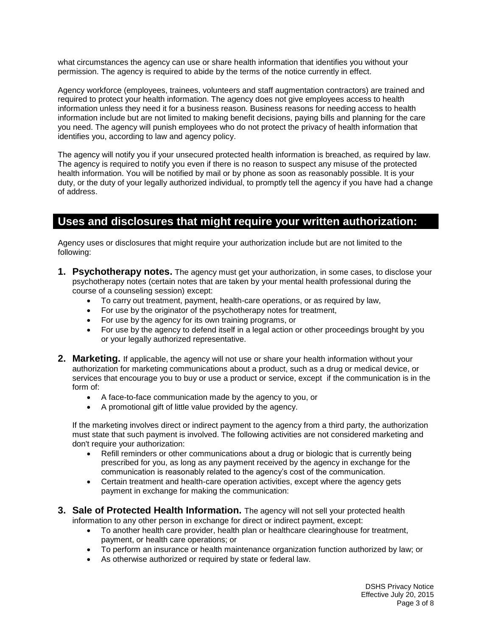what circumstances the agency can use or share health information that identifies you without your permission. The agency is required to abide by the terms of the notice currently in effect.

Agency workforce (employees, trainees, volunteers and staff augmentation contractors) are trained and required to protect your health information. The agency does not give employees access to health information unless they need it for a business reason. Business reasons for needing access to health information include but are not limited to making benefit decisions, paying bills and planning for the care you need. The agency will punish employees who do not protect the privacy of health information that identifies you, according to law and agency policy.

The agency will notify you if your unsecured protected health information is breached, as required by law. The agency is required to notify you even if there is no reason to suspect any misuse of the protected health information. You will be notified by mail or by phone as soon as reasonably possible. It is your duty, or the duty of your legally authorized individual, to promptly tell the agency if you have had a change of address.

### **Uses and disclosures that might require your written authorization:**

Agency uses or disclosures that might require your authorization include but are not limited to the following:

- **1. Psychotherapy notes.** The agency must get your authorization, in some cases, to disclose your psychotherapy notes (certain notes that are taken by your mental health professional during the course of a counseling session) except:
	- To carry out treatment, payment, health-care operations, or as required by law,
	- For use by the originator of the psychotherapy notes for treatment,
	- For use by the agency for its own training programs, or
	- For use by the agency to defend itself in a legal action or other proceedings brought by you or your legally authorized representative.
- **2. Marketing.** If applicable, the agency will not use or share your health information without your authorization for marketing communications about a product, such as a drug or medical device, or services that encourage you to buy or use a product or service, except if the communication is in the form of:
	- A face-to-face communication made by the agency to you, or
	- A promotional gift of little value provided by the agency.

If the marketing involves direct or indirect payment to the agency from a third party, the authorization must state that such payment is involved. The following activities are not considered marketing and don't require your authorization:

- Refill reminders or other communications about a drug or biologic that is currently being prescribed for you, as long as any payment received by the agency in exchange for the communication is reasonably related to the agency's cost of the communication.
- Certain treatment and health-care operation activities, except where the agency gets payment in exchange for making the communication:
- **3. Sale of Protected Health Information.** The agency will not sell your protected health information to any other person in exchange for direct or indirect payment, except:
	- To another health care provider, health plan or healthcare clearinghouse for treatment, payment, or health care operations; or
	- To perform an insurance or health maintenance organization function authorized by law; or
	- As otherwise authorized or required by state or federal law.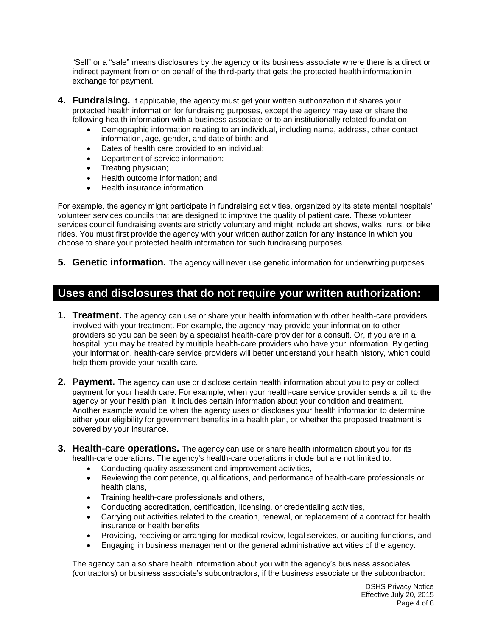"Sell" or a "sale" means disclosures by the agency or its business associate where there is a direct or indirect payment from or on behalf of the third-party that gets the protected health information in exchange for payment.

- **4. Fundraising.** If applicable, the agency must get your written authorization if it shares your protected health information for fundraising purposes, except the agency may use or share the following health information with a business associate or to an institutionally related foundation:
	- Demographic information relating to an individual, including name, address, other contact information, age, gender, and date of birth; and
	- Dates of health care provided to an individual;
	- Department of service information;
	- Treating physician;
	- Health outcome information; and
	- Health insurance information.

For example, the agency might participate in fundraising activities, organized by its state mental hospitals' volunteer services councils that are designed to improve the quality of patient care. These volunteer services council fundraising events are strictly voluntary and might include art shows, walks, runs, or bike rides. You must first provide the agency with your written authorization for any instance in which you choose to share your protected health information for such fundraising purposes.

**5. Genetic information.** The agency will never use genetic information for underwriting purposes.

## **Uses and disclosures that do not require your written authorization:**

- **1. Treatment.** The agency can use or share your health information with other health-care providers involved with your treatment. For example, the agency may provide your information to other providers so you can be seen by a specialist health-care provider for a consult. Or, if you are in a hospital, you may be treated by multiple health-care providers who have your information. By getting your information, health-care service providers will better understand your health history, which could help them provide your health care.
- **2. Payment.** The agency can use or disclose certain health information about you to pay or collect payment for your health care. For example, when your health-care service provider sends a bill to the agency or your health plan, it includes certain information about your condition and treatment. Another example would be when the agency uses or discloses your health information to determine either your eligibility for government benefits in a health plan, or whether the proposed treatment is covered by your insurance.
- **3. Health-care operations.** The agency can use or share health information about you for its health-care operations. The agency's health-care operations include but are not limited to:
	- Conducting quality assessment and improvement activities,
	- Reviewing the competence, qualifications, and performance of health-care professionals or health plans,
	- Training health-care professionals and others,
	- Conducting accreditation, certification, licensing, or credentialing activities,
	- Carrying out activities related to the creation, renewal, or replacement of a contract for health insurance or health benefits,
	- Providing, receiving or arranging for medical review, legal services, or auditing functions, and
	- Engaging in business management or the general administrative activities of the agency.

The agency can also share health information about you with the agency's business associates (contractors) or business associate's subcontractors, if the business associate or the subcontractor: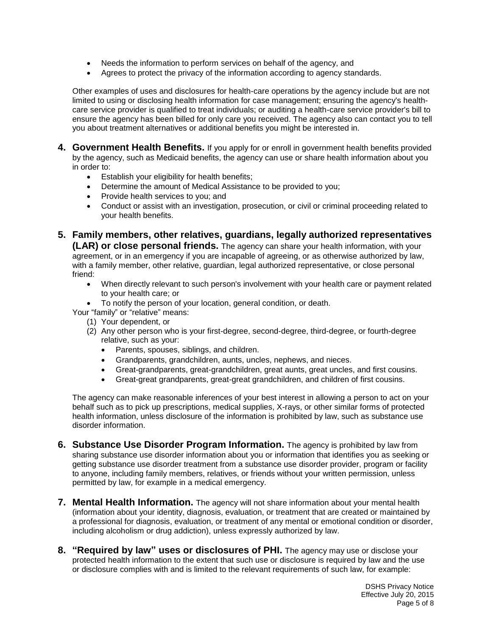- Needs the information to perform services on behalf of the agency, and
- Agrees to protect the privacy of the information according to agency standards.

Other examples of uses and disclosures for health-care operations by the agency include but are not limited to using or disclosing health information for case management; ensuring the agency's healthcare service provider is qualified to treat individuals; or auditing a health-care service provider's bill to ensure the agency has been billed for only care you received. The agency also can contact you to tell you about treatment alternatives or additional benefits you might be interested in.

- **4. Government Health Benefits.** If you apply for or enroll in government health benefits provided by the agency, such as Medicaid benefits, the agency can use or share health information about you in order to:
	- Establish your eligibility for health benefits;
	- Determine the amount of Medical Assistance to be provided to you;
	- Provide health services to you; and
	- Conduct or assist with an investigation, prosecution, or civil or criminal proceeding related to your health benefits.
- **5. Family members, other relatives, guardians, legally authorized representatives (LAR) or close personal friends.** The agency can share your health information, with your agreement, or in an emergency if you are incapable of agreeing, or as otherwise authorized by law, with a family member, other relative, guardian, legal authorized representative, or close personal friend:
	- When directly relevant to such person's involvement with your health care or payment related to your health care; or
	- To notify the person of your location, general condition, or death.

Your "family" or "relative" means:

- (1) Your dependent, or
- (2) Any other person who is your first-degree, second-degree, third-degree, or fourth-degree relative, such as your:
	- Parents, spouses, siblings, and children.
	- Grandparents, grandchildren, aunts, uncles, nephews, and nieces.
	- Great-grandparents, great-grandchildren, great aunts, great uncles, and first cousins.
	- Great-great grandparents, great-great grandchildren, and children of first cousins.

The agency can make reasonable inferences of your best interest in allowing a person to act on your behalf such as to pick up prescriptions, medical supplies, X-rays, or other similar forms of protected health information, unless disclosure of the information is prohibited by law, such as substance use disorder information.

- **6. Substance Use Disorder Program Information.** The agency is prohibited by law from sharing substance use disorder information about you or information that identifies you as seeking or getting substance use disorder treatment from a substance use disorder provider, program or facility to anyone, including family members, relatives, or friends without your written permission, unless permitted by law, for example in a medical emergency.
- **7. Mental Health Information.** The agency will not share information about your mental health (information about your identity, diagnosis, evaluation, or treatment that are created or maintained by a professional for diagnosis, evaluation, or treatment of any mental or emotional condition or disorder, including alcoholism or drug addiction), unless expressly authorized by law.
- **8. "Required by law" uses or disclosures of PHI.** The agency may use or disclose your protected health information to the extent that such use or disclosure is required by law and the use or disclosure complies with and is limited to the relevant requirements of such law, for example: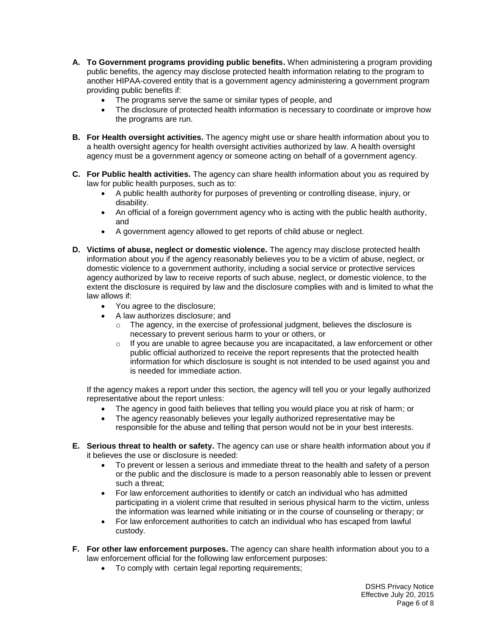- **A. To Government programs providing public benefits.** When administering a program providing public benefits, the agency may disclose protected health information relating to the program to another HIPAA-covered entity that is a government agency administering a government program providing public benefits if:
	- The programs serve the same or similar types of people, and
	- The disclosure of protected health information is necessary to coordinate or improve how the programs are run.
- **B. For Health oversight activities.** The agency might use or share health information about you to a health oversight agency for health oversight activities authorized by law. A health oversight agency must be a government agency or someone acting on behalf of a government agency.
- **C. For Public health activities.** The agency can share health information about you as required by law for public health purposes, such as to:
	- A public health authority for purposes of preventing or controlling disease, injury, or disability.
	- An official of a foreign government agency who is acting with the public health authority, and
	- A government agency allowed to get reports of child abuse or neglect.
- **D. Victims of abuse, neglect or domestic violence.** The agency may disclose protected health information about you if the agency reasonably believes you to be a victim of abuse, neglect, or domestic violence to a government authority, including a social service or protective services agency authorized by law to receive reports of such abuse, neglect, or domestic violence, to the extent the disclosure is required by law and the disclosure complies with and is limited to what the law allows if:
	- You agree to the disclosure;
	- A law authorizes disclosure; and
		- $\circ$  The agency, in the exercise of professional judgment, believes the disclosure is necessary to prevent serious harm to your or others, or
		- $\circ$  If you are unable to agree because you are incapacitated, a law enforcement or other public official authorized to receive the report represents that the protected health information for which disclosure is sought is not intended to be used against you and is needed for immediate action.

If the agency makes a report under this section, the agency will tell you or your legally authorized representative about the report unless:

- The agency in good faith believes that telling you would place you at risk of harm; or
- The agency reasonably believes your legally authorized representative may be responsible for the abuse and telling that person would not be in your best interests.
- **E. Serious threat to health or safety.** The agency can use or share health information about you if it believes the use or disclosure is needed:
	- To prevent or lessen a serious and immediate threat to the health and safety of a person or the public and the disclosure is made to a person reasonably able to lessen or prevent such a threat;
	- For law enforcement authorities to identify or catch an individual who has admitted participating in a violent crime that resulted in serious physical harm to the victim, unless the information was learned while initiating or in the course of counseling or therapy; or
	- For law enforcement authorities to catch an individual who has escaped from lawful custody.
- **F. For other law enforcement purposes.** The agency can share health information about you to a law enforcement official for the following law enforcement purposes:
	- To comply with certain legal reporting requirements;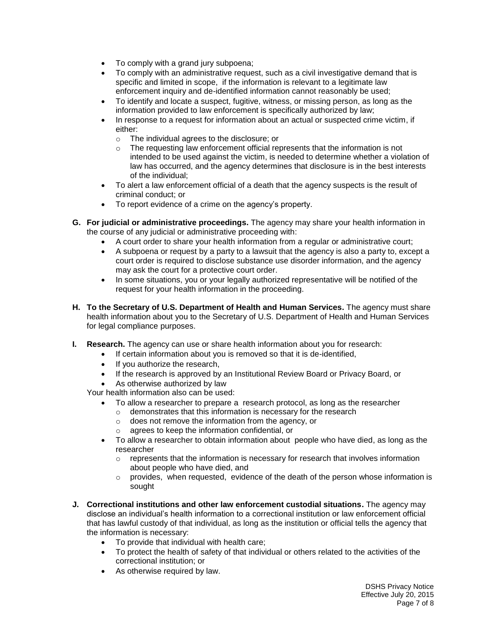- To comply with a grand jury subpoena;
- To comply with an administrative request, such as a civil investigative demand that is specific and limited in scope, if the information is relevant to a legitimate law enforcement inquiry and de-identified information cannot reasonably be used;
- To identify and locate a suspect, fugitive, witness, or missing person, as long as the information provided to law enforcement is specifically authorized by law;
- In response to a request for information about an actual or suspected crime victim, if either:
	- o The individual agrees to the disclosure; or
	- o The requesting law enforcement official represents that the information is not intended to be used against the victim, is needed to determine whether a violation of law has occurred, and the agency determines that disclosure is in the best interests of the individual;
- To alert a law enforcement official of a death that the agency suspects is the result of criminal conduct; or
- To report evidence of a crime on the agency's property.
- **G. For judicial or administrative proceedings.** The agency may share your health information in the course of any judicial or administrative proceeding with:
	- A court order to share your health information from a regular or administrative court;
	- A subpoena or request by a party to a lawsuit that the agency is also a party to, except a court order is required to disclose substance use disorder information, and the agency may ask the court for a protective court order.
	- In some situations, you or your legally authorized representative will be notified of the request for your health information in the proceeding.
- **H. To the Secretary of U.S. Department of Health and Human Services.** The agency must share health information about you to the Secretary of U.S. Department of Health and Human Services for legal compliance purposes.
- **I. Research.** The agency can use or share health information about you for research:
	- If certain information about you is removed so that it is de-identified,
		- If you authorize the research,
		- If the research is approved by an Institutional Review Board or Privacy Board, or
		- As otherwise authorized by law

Your health information also can be used:

- To allow a researcher to prepare a research protocol, as long as the researcher
	- o demonstrates that this information is necessary for the research
	- o does not remove the information from the agency, or
	- o agrees to keep the information confidential, or
- To allow a researcher to obtain information about people who have died, as long as the researcher
	- $\circ$  represents that the information is necessary for research that involves information about people who have died, and
	- $\circ$  provides, when requested, evidence of the death of the person whose information is sought
- **J. Correctional institutions and other law enforcement custodial situations.** The agency may disclose an individual's health information to a correctional institution or law enforcement official that has lawful custody of that individual, as long as the institution or official tells the agency that the information is necessary:
	- To provide that individual with health care;
	- To protect the health of safety of that individual or others related to the activities of the correctional institution; or
	- As otherwise required by law.